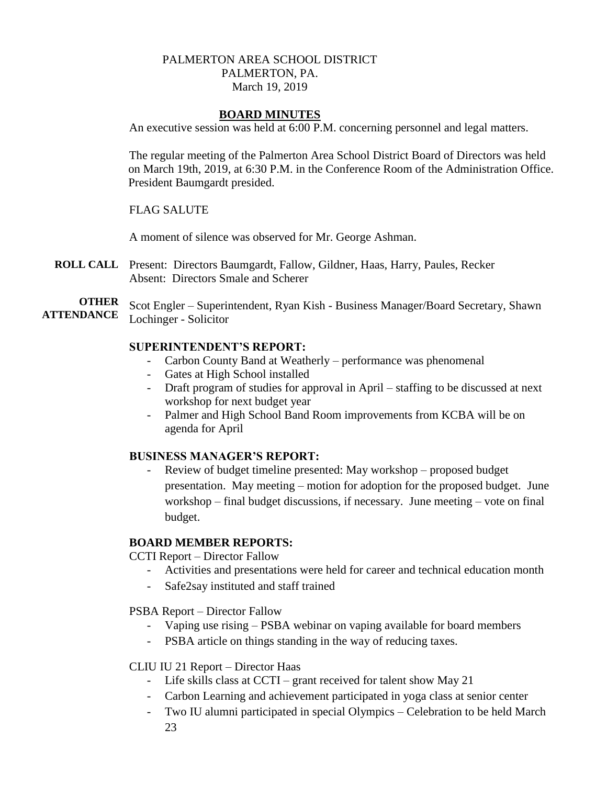# PALMERTON AREA SCHOOL DISTRICT PALMERTON, PA. March 19, 2019

### **BOARD MINUTES**

An executive session was held at 6:00 P.M. concerning personnel and legal matters.

The regular meeting of the Palmerton Area School District Board of Directors was held on March 19th, 2019, at 6:30 P.M. in the Conference Room of the Administration Office. President Baumgardt presided.

### FLAG SALUTE

A moment of silence was observed for Mr. George Ashman.

**ROLL CALL** Present: Directors Baumgardt, Fallow, Gildner, Haas, Harry, Paules, Recker Absent: Directors Smale and Scherer

**OTHER ATTENDANCE** Scot Engler – Superintendent, Ryan Kish - Business Manager/Board Secretary, Shawn Lochinger - Solicitor

#### **SUPERINTENDENT'S REPORT:**

- Carbon County Band at Weatherly performance was phenomenal
- Gates at High School installed
- Draft program of studies for approval in April staffing to be discussed at next workshop for next budget year
- Palmer and High School Band Room improvements from KCBA will be on agenda for April

### **BUSINESS MANAGER'S REPORT:**

Review of budget timeline presented: May workshop – proposed budget presentation. May meeting – motion for adoption for the proposed budget. June workshop – final budget discussions, if necessary. June meeting – vote on final budget.

### **BOARD MEMBER REPORTS:**

CCTI Report – Director Fallow

- Activities and presentations were held for career and technical education month
- Safe2say instituted and staff trained
- PSBA Report Director Fallow
	- Vaping use rising PSBA webinar on vaping available for board members
	- PSBA article on things standing in the way of reducing taxes.

### CLIU IU 21 Report – Director Haas

- Life skills class at CCTI grant received for talent show May 21
- Carbon Learning and achievement participated in yoga class at senior center
- Two IU alumni participated in special Olympics Celebration to be held March 23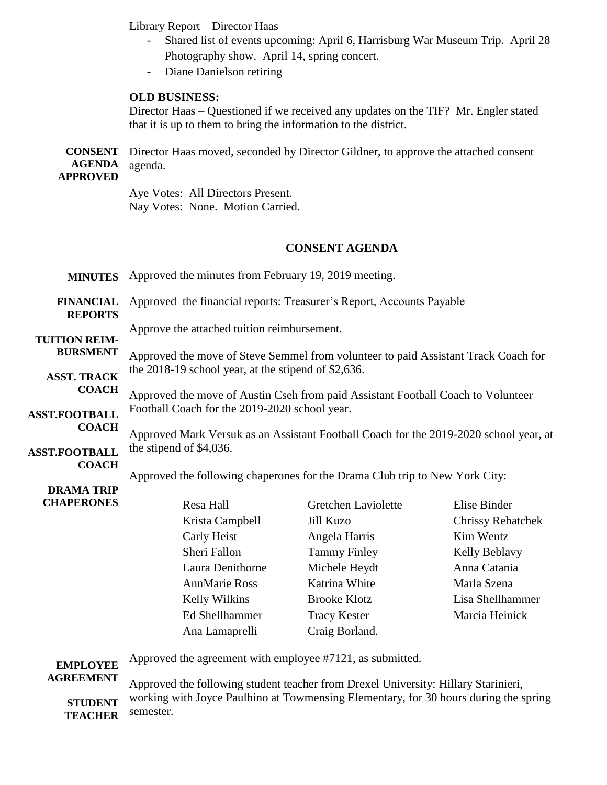Library Report – Director Haas

- Shared list of events upcoming: April 6, Harrisburg War Museum Trip. April 28 Photography show. April 14, spring concert.
- Diane Danielson retiring

#### **OLD BUSINESS:**

Director Haas – Questioned if we received any updates on the TIF? Mr. Engler stated that it is up to them to bring the information to the district.

**CONSENT AGENDA APPROVED** Director Haas moved, seconded by Director Gildner, to approve the attached consent agenda.

> Aye Votes: All Directors Present. Nay Votes: None. Motion Carried.

#### **CONSENT AGENDA**

**MINUTES FINANCIAL REPORTS TUITION REIM-BURSMENT ASST. TRACK COACH ASST.FOOTBALL COACH ASST.FOOTBALL COACH DRAMA TRIP CHAPERONES** Approved the minutes from February 19, 2019 meeting. Approved the financial reports: Treasurer's Report, Accounts Payable Approve the attached tuition reimbursement. Approved the move of Steve Semmel from volunteer to paid Assistant Track Coach for the 2018-19 school year, at the stipend of \$2,636. Approved the move of Austin Cseh from paid Assistant Football Coach to Volunteer Football Coach for the 2019-2020 school year. Approved Mark Versuk as an Assistant Football Coach for the 2019-2020 school year, at the stipend of \$4,036. Approved the following chaperones for the Drama Club trip to New York City: Resa Hall Gretchen Laviolette Elise Binder Krista Campbell Jill Kuzo Chrissy Rehatchek Carly Heist Angela Harris Kim Wentz Sheri Fallon Tammy Finley Kelly Beblavy Laura Denithorne Michele Heydt Anna Catania AnnMarie Ross Katrina White Marla Szena Kelly Wilkins Brooke Klotz Lisa Shellhammer Ed Shellhammer Tracy Kester Marcia Heinick Ana Lamaprelli Craig Borland. Approved the agreement with employee #7121, as submitted.

**EMPLOYEE AGREEMENT**

**STUDENT TEACHER** Approved the following student teacher from Drexel University: Hillary Starinieri, working with Joyce Paulhino at Towmensing Elementary, for 30 hours during the spring semester.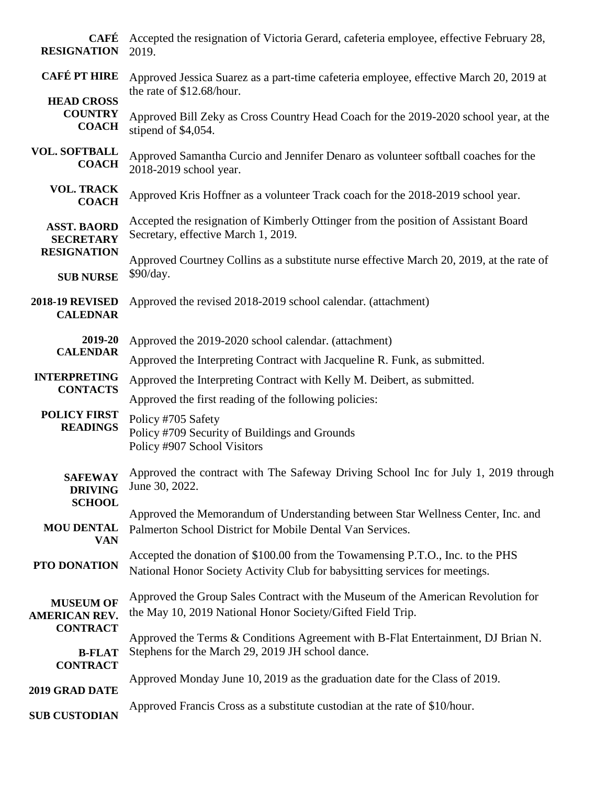| <b>CAFÉ</b><br><b>RESIGNATION</b>                   | Accepted the resignation of Victoria Gerard, cafeteria employee, effective February 28,<br>2019.                                                              |
|-----------------------------------------------------|---------------------------------------------------------------------------------------------------------------------------------------------------------------|
| <b>CAFÉ PT HIRE</b>                                 | Approved Jessica Suarez as a part-time cafeteria employee, effective March 20, 2019 at<br>the rate of \$12.68/hour.                                           |
| <b>HEAD CROSS</b><br><b>COUNTRY</b><br><b>COACH</b> | Approved Bill Zeky as Cross Country Head Coach for the 2019-2020 school year, at the<br>stipend of \$4,054.                                                   |
| <b>VOL. SOFTBALL</b><br><b>COACH</b>                | Approved Samantha Curcio and Jennifer Denaro as volunteer softball coaches for the<br>2018-2019 school year.                                                  |
| <b>VOL. TRACK</b><br><b>COACH</b>                   | Approved Kris Hoffner as a volunteer Track coach for the 2018-2019 school year.                                                                               |
| <b>ASST. BAORD</b><br><b>SECRETARY</b>              | Accepted the resignation of Kimberly Ottinger from the position of Assistant Board<br>Secretary, effective March 1, 2019.                                     |
| <b>RESIGNATION</b><br><b>SUB NURSE</b>              | Approved Courtney Collins as a substitute nurse effective March 20, 2019, at the rate of<br>\$90/day.                                                         |
| <b>2018-19 REVISED</b><br><b>CALEDNAR</b>           | Approved the revised 2018-2019 school calendar. (attachment)                                                                                                  |
| 2019-20<br><b>CALENDAR</b>                          | Approved the 2019-2020 school calendar. (attachment)                                                                                                          |
|                                                     | Approved the Interpreting Contract with Jacqueline R. Funk, as submitted.                                                                                     |
| <b>INTERPRETING</b>                                 | Approved the Interpreting Contract with Kelly M. Deibert, as submitted.                                                                                       |
| <b>CONTACTS</b>                                     | Approved the first reading of the following policies:                                                                                                         |
| <b>POLICY FIRST</b><br><b>READINGS</b>              | Policy #705 Safety<br>Policy #709 Security of Buildings and Grounds<br>Policy #907 School Visitors                                                            |
| <b>DRIVING</b><br><b>SCHOOL</b>                     | SAFEWAY Approved the contract with The Safeway Driving School Inc for July 1, 2019 through<br>June 30, 2022.                                                  |
| <b>MOU DENTAL</b><br><b>VAN</b>                     | Approved the Memorandum of Understanding between Star Wellness Center, Inc. and<br>Palmerton School District for Mobile Dental Van Services.                  |
| PTO DONATION                                        | Accepted the donation of \$100.00 from the Towamensing P.T.O., Inc. to the PHS<br>National Honor Society Activity Club for babysitting services for meetings. |
| <b>MUSEUM OF</b><br><b>AMERICAN REV.</b>            | Approved the Group Sales Contract with the Museum of the American Revolution for<br>the May 10, 2019 National Honor Society/Gifted Field Trip.                |
| <b>CONTRACT</b><br><b>B-FLAT</b><br><b>CONTRACT</b> | Approved the Terms & Conditions Agreement with B-Flat Entertainment, DJ Brian N.<br>Stephens for the March 29, 2019 JH school dance.                          |
|                                                     | Approved Monday June 10, 2019 as the graduation date for the Class of 2019.                                                                                   |
| 2019 GRAD DATE                                      | Approved Francis Cross as a substitute custodian at the rate of \$10/hour.                                                                                    |
| <b>SUB CUSTODIAN</b>                                |                                                                                                                                                               |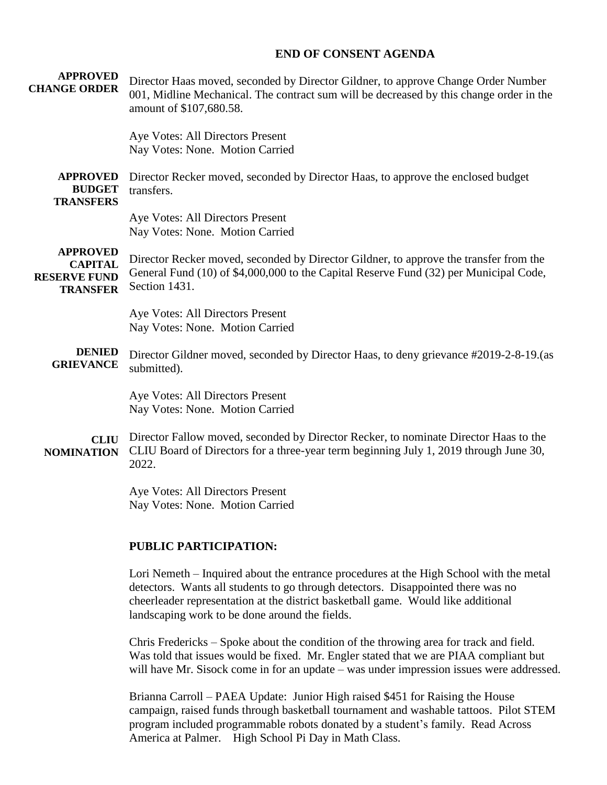### **END OF CONSENT AGENDA**

| <b>APPROVED</b><br><b>CHANGE ORDER</b>                                      | Director Haas moved, seconded by Director Gildner, to approve Change Order Number<br>001, Midline Mechanical. The contract sum will be decreased by this change order in the<br>amount of \$107,680.58.                                                         |
|-----------------------------------------------------------------------------|-----------------------------------------------------------------------------------------------------------------------------------------------------------------------------------------------------------------------------------------------------------------|
|                                                                             | Aye Votes: All Directors Present<br>Nay Votes: None. Motion Carried                                                                                                                                                                                             |
| <b>APPROVED</b><br><b>BUDGET</b><br><b>TRANSFERS</b>                        | Director Recker moved, seconded by Director Haas, to approve the enclosed budget<br>transfers.                                                                                                                                                                  |
|                                                                             | Aye Votes: All Directors Present<br>Nay Votes: None. Motion Carried                                                                                                                                                                                             |
| <b>APPROVED</b><br><b>CAPITAL</b><br><b>RESERVE FUND</b><br><b>TRANSFER</b> | Director Recker moved, seconded by Director Gildner, to approve the transfer from the<br>General Fund (10) of \$4,000,000 to the Capital Reserve Fund (32) per Municipal Code,<br>Section 1431.                                                                 |
|                                                                             | Aye Votes: All Directors Present<br>Nay Votes: None. Motion Carried                                                                                                                                                                                             |
| <b>DENIED</b><br><b>GRIEVANCE</b>                                           | Director Gildner moved, seconded by Director Haas, to deny grievance #2019-2-8-19. (as<br>submitted).                                                                                                                                                           |
|                                                                             | Aye Votes: All Directors Present<br>Nay Votes: None. Motion Carried                                                                                                                                                                                             |
| <b>CLIU</b><br><b>NOMINATION</b>                                            | Director Fallow moved, seconded by Director Recker, to nominate Director Haas to the<br>CLIU Board of Directors for a three-year term beginning July 1, 2019 through June 30,<br>2022.                                                                          |
|                                                                             | Aye Votes: All Directors Present<br>Nay Votes: None. Motion Carried                                                                                                                                                                                             |
|                                                                             | <b>PUBLIC PARTICIPATION:</b>                                                                                                                                                                                                                                    |
|                                                                             | Lori Nemeth – Inquired about the entrance procedures at the High School with the metal<br>detectors. Wants all students to go through detectors. Disappointed there was no<br>cheerleader representation at the district basketball game. Would like additional |

landscaping work to be done around the fields.

Chris Fredericks – Spoke about the condition of the throwing area for track and field. Was told that issues would be fixed. Mr. Engler stated that we are PIAA compliant but will have Mr. Sisock come in for an update – was under impression issues were addressed.

Brianna Carroll – PAEA Update: Junior High raised \$451 for Raising the House campaign, raised funds through basketball tournament and washable tattoos. Pilot STEM program included programmable robots donated by a student's family. Read Across America at Palmer. High School Pi Day in Math Class.